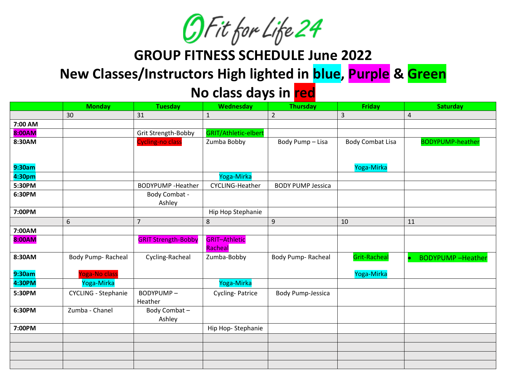

**GROUP FITNESS SCHEDULE June 2022**

## **New Classes/Instructors High lighted in blue, Purple & Green**

## **No class days in red**

|         | <b>Monday</b>              | <b>Tuesday</b>             | Wednesday            | <b>Thursday</b>          | <b>Friday</b>           | <b>Saturday</b>         |
|---------|----------------------------|----------------------------|----------------------|--------------------------|-------------------------|-------------------------|
|         | 30                         | 31                         | $\mathbf 1$          | $\overline{2}$           | 3                       | 4                       |
| 7:00 AM |                            |                            |                      |                          |                         |                         |
| 8:00AM  |                            | Grit Strength-Bobby        | GRIT/Athletic-elbert |                          |                         |                         |
| 8:30AM  |                            | Cycling-no class           | Zumba Bobby          | Body Pump - Lisa         | <b>Body Combat Lisa</b> | <b>BODYPUMP-heather</b> |
|         |                            |                            |                      |                          |                         |                         |
|         |                            |                            |                      |                          |                         |                         |
| 9:30am  |                            |                            |                      |                          | Yoga-Mirka              |                         |
| 4:30pm  |                            |                            | Yoga-Mirka           |                          |                         |                         |
| 5:30PM  |                            | <b>BODYPUMP</b> - Heather  | CYCLING-Heather      | <b>BODY PUMP Jessica</b> |                         |                         |
| 6:30PM  |                            | Body Combat -              |                      |                          |                         |                         |
|         |                            | Ashley                     |                      |                          |                         |                         |
| 7:00PM  |                            |                            | Hip Hop Stephanie    |                          |                         |                         |
|         | 6                          | $\overline{7}$             | 8                    | 9                        | 10                      | 11                      |
| 7:00AM  |                            |                            |                      |                          |                         |                         |
| 8:00AM  |                            | <b>GRIT Strength-Bobby</b> | <b>GRIT-Athletic</b> |                          |                         |                         |
|         |                            |                            | Racheal              |                          |                         |                         |
| 8:30AM  | Body Pump-Racheal          | Cycling-Racheal            | Zumba-Bobby          | Body Pump-Racheal        | <b>Grit-Racheal</b>     | <b>BODYPUMP-Heather</b> |
|         |                            |                            |                      |                          |                         |                         |
| 9:30am  | oga-No class               |                            |                      |                          | Yoga-Mirka              |                         |
| 4:30PM  | Yoga-Mirka                 |                            | Yoga-Mirka           |                          |                         |                         |
| 5:30PM  | <b>CYCLING - Stephanie</b> | BODYPUMP-                  | Cycling-Patrice      | Body Pump-Jessica        |                         |                         |
|         |                            | Heather                    |                      |                          |                         |                         |
| 6:30PM  | Zumba - Chanel             | Body Combat-               |                      |                          |                         |                         |
|         |                            | Ashley                     |                      |                          |                         |                         |
| 7:00PM  |                            |                            | Hip Hop-Stephanie    |                          |                         |                         |
|         |                            |                            |                      |                          |                         |                         |
|         |                            |                            |                      |                          |                         |                         |
|         |                            |                            |                      |                          |                         |                         |
|         |                            |                            |                      |                          |                         |                         |